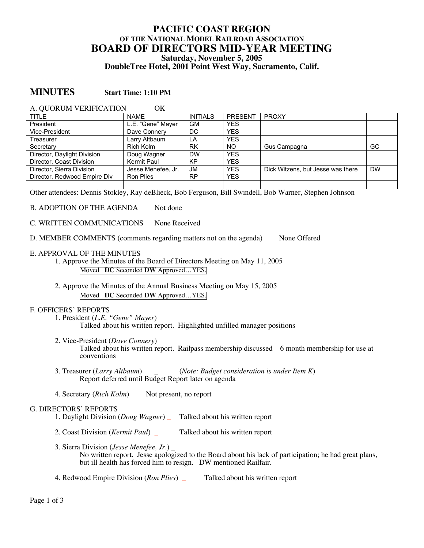# **PACIFIC COAST REGION OF THE NATIONAL MODEL RAILROAD ASSOCIATION BOARD OF DIRECTORS MID-YEAR MEETING Saturday, November 5, 2005 DoubleTree Hotel, 2001 Point West Way, Sacramento, Calif.**

# **MINUTES Start Time: 1:10 PM**

| A. QUORUM VERIFICATION<br>ОK |                    |                 |                |                                   |           |
|------------------------------|--------------------|-----------------|----------------|-----------------------------------|-----------|
| <b>TITLE</b>                 | <b>NAME</b>        | <b>INITIALS</b> | <b>PRESENT</b> | <b>PROXY</b>                      |           |
| President                    | L.E. "Gene" Mayer  | GM              | <b>YES</b>     |                                   |           |
| Vice-President               | Dave Connery       | DC.             | <b>YES</b>     |                                   |           |
| Treasurer                    | Larry Altbaum      | LA              | <b>YES</b>     |                                   |           |
| Secretary                    | Rich Kolm          | <b>RK</b>       | <b>NO</b>      | Gus Campagna                      | GC        |
| Director, Daylight Division  | Doug Wagner        | <b>DW</b>       | <b>YES</b>     |                                   |           |
| Director, Coast Division     | <b>Kermit Paul</b> | KP              | <b>YES</b>     |                                   |           |
| Director, Sierra Division    | Jesse Menefee, Jr. | JM              | <b>YES</b>     | Dick Witzens, but Jesse was there | <b>DW</b> |
| Director, Redwood Empire Div | Ron Plies          | <b>RP</b>       | <b>YES</b>     |                                   |           |
|                              |                    |                 |                |                                   |           |

Other attendees: Dennis Stokley, Ray deBlieck, Bob Ferguson, Bill Swindell, Bob Warner, Stephen Johnson

B. ADOPTION OF THE AGENDA Not done

- C. WRITTEN COMMUNICATIONS None Received
- D. MEMBER COMMENTS (comments regarding matters not on the agenda) None Offered
- E. APPROVAL OF THE MINUTES
	- 1. Approve the Minutes of the Board of Directors Meeting on May 11, 2005 Moved **DC** Seconded **DW** Approved…YES.
	- 2. Approve the Minutes of the Annual Business Meeting on May 15, 2005 Moved **DC** Seconded **DW** Approved…YES.

### F. OFFICERS' REPORTS

- 1. President (*L.E. "Gene" Mayer*) Talked about his written report. Highlighted unfilled manager positions
- 2. Vice-President (*Dave Connery*) Talked about his written report. Railpass membership discussed – 6 month membership for use at conventions
- 3. Treasurer (*Larry Altbaum*) \_ (*Note: Budget consideration is under Item K*) Report deferred until Budget Report later on agenda
- 4. Secretary (*Rich Kolm*) Not present, no report

# G. DIRECTORS' REPORTS

- 1. Daylight Division (*Doug Wagner*) \_ Talked about his written report
- 2. Coast Division (*Kermit Paul*) \_ Talked about his written report
- 3. Sierra Division (*Jesse Menefee, Jr.*) \_ No written report. Jesse apologized to the Board about his lack of participation; he had great plans, but ill health has forced him to resign. DW mentioned Railfair.
- 4. Redwood Empire Division (*Ron Plies*) \_ Talked about his written report

Page 1 of 3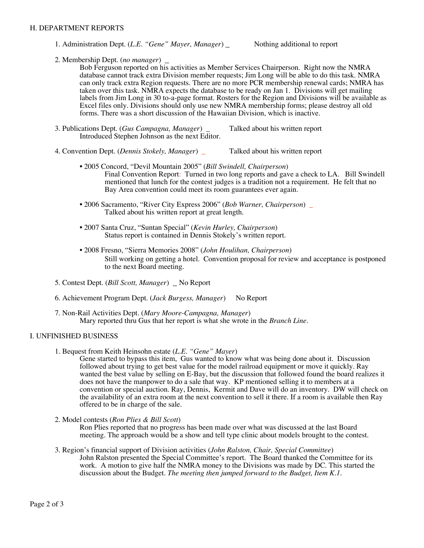### H. DEPARTMENT REPORTS

1. Administration Dept. (*L.E. "Gene" Mayer, Manager*) \_ Nothing additional to report

2. Membership Dept. (*no manager*) \_<br>Bob Ferguson reported on his activities as Member Services Chairperson. Right now the NMRA database cannot track extra Division member requests; Jim Long will be able to do this task. NMRA can only track extra Region requests. There are no more PCR membership renewal cards; NMRA has taken over this task. NMRA expects the database to be ready on Jan 1. Divisions will get mailing labels from Jim Long in 30 to-a-page format. Rosters for the Region and Divisions will be available as Excel files only. Divisions should only use new NMRA membership forms; please destroy all old forms. There was a short discussion of the Hawaiian Division, which is inactive.

- 3. Publications Dept. (*Gus Campagna, Manager*) \_ Talked about his written report Introduced Stephen Johnson as the next Editor.
- 4. Convention Dept. (*Dennis Stokely, Manager*) \_ Talked about his written report
	- 2005 Concord, "Devil Mountain 2005" (*Bill Swindell, Chairperson*) Final Convention Report: Turned in two long reports and gave a check to LA. Bill Swindell mentioned that lunch for the contest judges is a tradition not a requirement. He felt that no Bay Area convention could meet its room guarantees ever again.
	- 2006 Sacramento, "River City Express 2006" (*Bob Warner, Chairperson*) \_ Talked about his written report at great length.
	- 2007 Santa Cruz, "Suntan Special" (*Kevin Hurley, Chairperson*) Status report is contained in Dennis Stokely's written report.
	- 2008 Fresno, "Sierra Memories 2008" (*John Houlihan, Chairperson*) Still working on getting a hotel. Convention proposal for review and acceptance is postponed to the next Board meeting.
- 5. Contest Dept. (*Bill Scott, Manager*) \_ No Report
- 6. Achievement Program Dept. (*Jack Burgess, Manager*) No Report
- 7. Non-Rail Activities Dept. (*Mary Moore-Campagna, Manager*) Mary reported thru Gus that her report is what she wrote in the *Branch Line*.

### I. UNFINISHED BUSINESS

1. Bequest from Keith Heinsohn estate (*L.E. "Gene" Mayer*)

Gene started to bypass this item, Gus wanted to know what was being done about it. Discussion followed about trying to get best value for the model railroad equipment or move it quickly. Ray wanted the best value by selling on E-Bay, but the discussion that followed found the board realizes it does not have the manpower to do a sale that way. KP mentioned selling it to members at a convention or special auction. Ray, Dennis, Kermit and Dave will do an inventory. DW will check on the availability of an extra room at the next convention to sell it there. If a room is available then Ray offered to be in charge of the sale.

2. Model contests (*Ron Plies & Bill Scott*)

Ron Plies reported that no progress has been made over what was discussed at the last Board meeting. The approach would be a show and tell type clinic about models brought to the contest.

3. Region's financial support of Division activities (*John Ralston, Chair, Special Committee*) John Ralston presented the Special Committee's report. The Board thanked the Committee for its work. A motion to give half the NMRA money to the Divisions was made by DC. This started the discussion about the Budget. *The meeting then jumped forward to the Budget, Item K.1.*